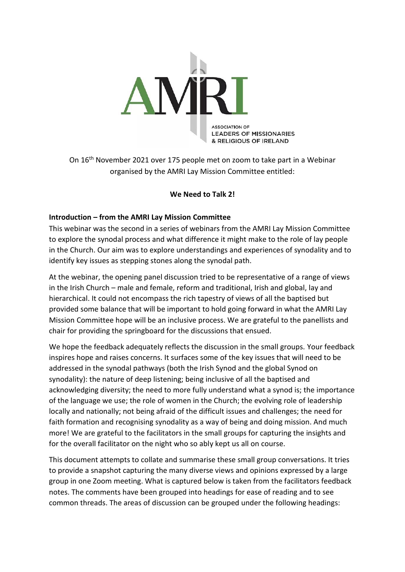

On 16th November 2021 over 175 people met on zoom to take part in a Webinar organised by the AMRI Lay Mission Committee entitled:

#### **We Need to Talk 2!**

#### **Introduction – from the AMRI Lay Mission Committee**

This webinar was the second in a series of webinars from the AMRI Lay Mission Committee to explore the synodal process and what difference it might make to the role of lay people in the Church. Our aim was to explore understandings and experiences of synodality and to identify key issues as stepping stones along the synodal path.

At the webinar, the opening panel discussion tried to be representative of a range of views in the Irish Church – male and female, reform and traditional, Irish and global, lay and hierarchical. It could not encompass the rich tapestry of views of all the baptised but provided some balance that will be important to hold going forward in what the AMRI Lay Mission Committee hope will be an inclusive process. We are grateful to the panellists and chair for providing the springboard for the discussions that ensued.

We hope the feedback adequately reflects the discussion in the small groups. Your feedback inspires hope and raises concerns. It surfaces some of the key issues that will need to be addressed in the synodal pathways (both the Irish Synod and the global Synod on synodality): the nature of deep listening; being inclusive of all the baptised and acknowledging diversity; the need to more fully understand what a synod is; the importance of the language we use; the role of women in the Church; the evolving role of leadership locally and nationally; not being afraid of the difficult issues and challenges; the need for faith formation and recognising synodality as a way of being and doing mission. And much more! We are grateful to the facilitators in the small groups for capturing the insights and for the overall facilitator on the night who so ably kept us all on course.

This document attempts to collate and summarise these small group conversations. It tries to provide a snapshot capturing the many diverse views and opinions expressed by a large group in one Zoom meeting. What is captured below is taken from the facilitators feedback notes. The comments have been grouped into headings for ease of reading and to see common threads. The areas of discussion can be grouped under the following headings: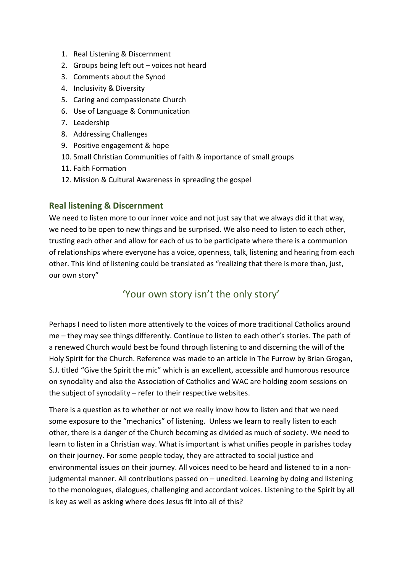- 1. Real Listening & Discernment
- 2. Groups being left out voices not heard
- 3. Comments about the Synod
- 4. Inclusivity & Diversity
- 5. Caring and compassionate Church
- 6. Use of Language & Communication
- 7. Leadership
- 8. Addressing Challenges
- 9. Positive engagement & hope
- 10. Small Christian Communities of faith & importance of small groups
- 11. Faith Formation
- 12. Mission & Cultural Awareness in spreading the gospel

### **Real listening & Discernment**

We need to listen more to our inner voice and not just say that we always did it that way, we need to be open to new things and be surprised. We also need to listen to each other, trusting each other and allow for each of us to be participate where there is a communion of relationships where everyone has a voice, openness, talk, listening and hearing from each other. This kind of listening could be translated as "realizing that there is more than, just, our own story"

# 'Your own story isn't the only story'

Perhaps I need to listen more attentively to the voices of more traditional Catholics around me – they may see things differently. Continue to listen to each other's stories. The path of a renewed Church would best be found through listening to and discerning the will of the Holy Spirit for the Church. Reference was made to an article in The Furrow by Brian Grogan, S.J. titled "Give the Spirit the mic" which is an excellent, accessible and humorous resource on synodality and also the Association of Catholics and WAC are holding zoom sessions on the subject of synodality – refer to their respective websites.

There is a question as to whether or not we really know how to listen and that we need some exposure to the "mechanics" of listening. Unless we learn to really listen to each other, there is a danger of the Church becoming as divided as much of society. We need to learn to listen in a Christian way. What is important is what unifies people in parishes today on their journey. For some people today, they are attracted to social justice and environmental issues on their journey. All voices need to be heard and listened to in a nonjudgmental manner. All contributions passed on – unedited. Learning by doing and listening to the monologues, dialogues, challenging and accordant voices. Listening to the Spirit by all is key as well as asking where does Jesus fit into all of this?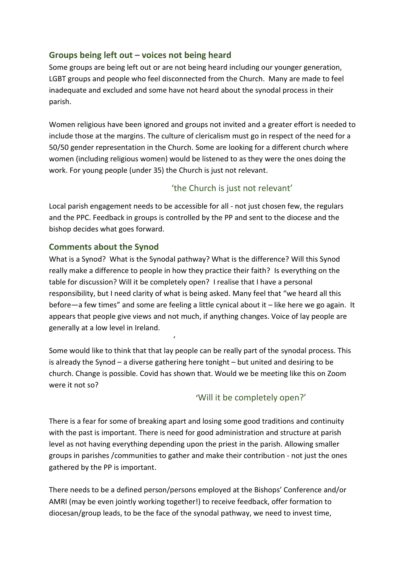### **Groups being left out – voices not being heard**

Some groups are being left out or are not being heard including our younger generation, LGBT groups and people who feel disconnected from the Church. Many are made to feel inadequate and excluded and some have not heard about the synodal process in their parish.

Women religious have been ignored and groups not invited and a greater effort is needed to include those at the margins. The culture of clericalism must go in respect of the need for a 50/50 gender representation in the Church. Some are looking for a different church where women (including religious women) would be listened to as they were the ones doing the work. For young people (under 35) the Church is just not relevant.

### 'the Church is just not relevant'

Local parish engagement needs to be accessible for all - not just chosen few, the regulars and the PPC. Feedback in groups is controlled by the PP and sent to the diocese and the bishop decides what goes forward.

### **Comments about the Synod**

What is a Synod? What is the Synodal pathway? What is the difference? Will this Synod really make a difference to people in how they practice their faith? Is everything on the table for discussion? Will it be completely open? I realise that I have a personal responsibility, but I need clarity of what is being asked. Many feel that "we heard all this before—a few times" and some are feeling a little cynical about it – like here we go again. It appears that people give views and not much, if anything changes. Voice of lay people are generally at a low level in Ireland.

Some would like to think that that lay people can be really part of the synodal process. This is already the Synod – a diverse gathering here tonight – but united and desiring to be church. Change is possible. Covid has shown that. Would we be meeting like this on Zoom were it not so?

'

# 'Will it be completely open?'

There is a fear for some of breaking apart and losing some good traditions and continuity with the past is important. There is need for good administration and structure at parish level as not having everything depending upon the priest in the parish. Allowing smaller groups in parishes /communities to gather and make their contribution - not just the ones gathered by the PP is important.

There needs to be a defined person/persons employed at the Bishops' Conference and/or AMRI (may be even jointly working together!) to receive feedback, offer formation to diocesan/group leads, to be the face of the synodal pathway, we need to invest time,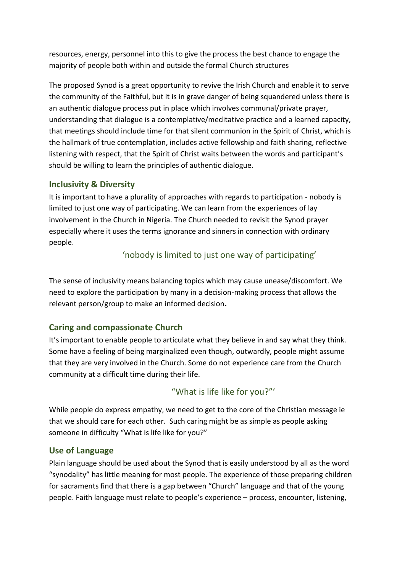resources, energy, personnel into this to give the process the best chance to engage the majority of people both within and outside the formal Church structures

The proposed Synod is a great opportunity to revive the Irish Church and enable it to serve the community of the Faithful, but it is in grave danger of being squandered unless there is an authentic dialogue process put in place which involves communal/private prayer, understanding that dialogue is a contemplative/meditative practice and a learned capacity, that meetings should include time for that silent communion in the Spirit of Christ, which is the hallmark of true contemplation, includes active fellowship and faith sharing, reflective listening with respect, that the Spirit of Christ waits between the words and participant's should be willing to learn the principles of authentic dialogue.

### **Inclusivity & Diversity**

It is important to have a plurality of approaches with regards to participation - nobody is limited to just one way of participating. We can learn from the experiences of lay involvement in the Church in Nigeria. The Church needed to revisit the Synod prayer especially where it uses the terms ignorance and sinners in connection with ordinary people.

### 'nobody is limited to just one way of participating'

The sense of inclusivity means balancing topics which may cause unease/discomfort. We need to explore the participation by many in a decision-making process that allows the relevant person/group to make an informed decision**.**

# **Caring and compassionate Church**

It's important to enable people to articulate what they believe in and say what they think. Some have a feeling of being marginalized even though, outwardly, people might assume that they are very involved in the Church. Some do not experience care from the Church community at a difficult time during their life.

"What is life like for you?"'

While people do express empathy, we need to get to the core of the Christian message ie that we should care for each other. Such caring might be as simple as people asking someone in difficulty "What is life like for you?"

### **Use of Language**

Plain language should be used about the Synod that is easily understood by all as the word "synodality" has little meaning for most people. The experience of those preparing children for sacraments find that there is a gap between "Church" language and that of the young people. Faith language must relate to people's experience – process, encounter, listening,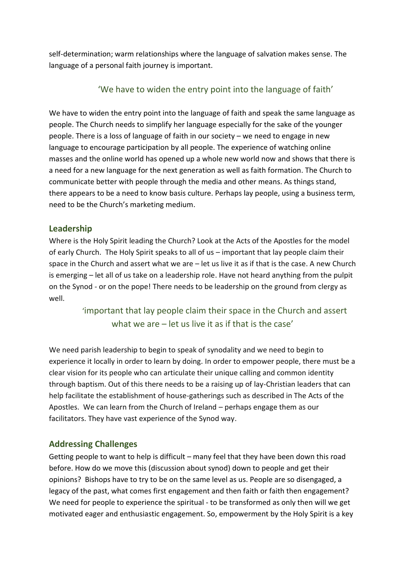self-determination; warm relationships where the language of salvation makes sense. The language of a personal faith journey is important.

### 'We have to widen the entry point into the language of faith'

We have to widen the entry point into the language of faith and speak the same language as people. The Church needs to simplify her language especially for the sake of the younger people. There is a loss of language of faith in our society – we need to engage in new language to encourage participation by all people. The experience of watching online masses and the online world has opened up a whole new world now and shows that there is a need for a new language for the next generation as well as faith formation. The Church to communicate better with people through the media and other means. As things stand, there appears to be a need to know basis culture. Perhaps lay people, using a business term, need to be the Church's marketing medium.

#### **Leadership**

Where is the Holy Spirit leading the Church? Look at the Acts of the Apostles for the model of early Church. The Holy Spirit speaks to all of us – important that lay people claim their space in the Church and assert what we are – let us live it as if that is the case. A new Church is emerging – let all of us take on a leadership role. Have not heard anything from the pulpit on the Synod - or on the pope! There needs to be leadership on the ground from clergy as well.

> 'important that lay people claim their space in the Church and assert what we are – let us live it as if that is the case'

We need parish leadership to begin to speak of synodality and we need to begin to experience it locally in order to learn by doing. In order to empower people, there must be a clear vision for its people who can articulate their unique calling and common identity through baptism. Out of this there needs to be a raising up of lay-Christian leaders that can help facilitate the establishment of house-gatherings such as described in The Acts of the Apostles. We can learn from the Church of Ireland – perhaps engage them as our facilitators. They have vast experience of the Synod way.

### **Addressing Challenges**

Getting people to want to help is difficult – many feel that they have been down this road before. How do we move this (discussion about synod) down to people and get their opinions? Bishops have to try to be on the same level as us. People are so disengaged, a legacy of the past, what comes first engagement and then faith or faith then engagement? We need for people to experience the spiritual - to be transformed as only then will we get motivated eager and enthusiastic engagement. So, empowerment by the Holy Spirit is a key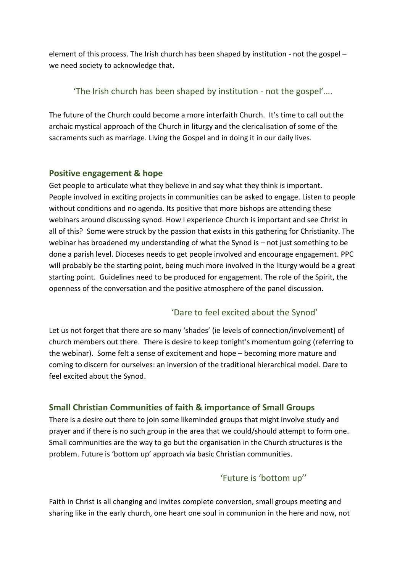element of this process. The Irish church has been shaped by institution - not the gospel – we need society to acknowledge that**.** 

### 'The Irish church has been shaped by institution - not the gospel'….

The future of the Church could become a more interfaith Church. It's time to call out the archaic mystical approach of the Church in liturgy and the clericalisation of some of the sacraments such as marriage. Living the Gospel and in doing it in our daily lives.

### **Positive engagement & hope**

Get people to articulate what they believe in and say what they think is important. People involved in exciting projects in communities can be asked to engage. Listen to people without conditions and no agenda. Its positive that more bishops are attending these webinars around discussing synod. How I experience Church is important and see Christ in all of this? Some were struck by the passion that exists in this gathering for Christianity. The webinar has broadened my understanding of what the Synod is – not just something to be done a parish level. Dioceses needs to get people involved and encourage engagement. PPC will probably be the starting point, being much more involved in the liturgy would be a great starting point. Guidelines need to be produced for engagement. The role of the Spirit, the openness of the conversation and the positive atmosphere of the panel discussion.

# 'Dare to feel excited about the Synod'

Let us not forget that there are so many 'shades' (ie levels of connection/involvement) of church members out there. There is desire to keep tonight's momentum going (referring to the webinar). Some felt a sense of excitement and hope – becoming more mature and coming to discern for ourselves: an inversion of the traditional hierarchical model. Dare to feel excited about the Synod.

### **Small Christian Communities of faith & importance of Small Groups**

There is a desire out there to join some likeminded groups that might involve study and prayer and if there is no such group in the area that we could/should attempt to form one. Small communities are the way to go but the organisation in the Church structures is the problem. Future is 'bottom up' approach via basic Christian communities.

# 'Future is 'bottom up''

Faith in Christ is all changing and invites complete conversion, small groups meeting and sharing like in the early church, one heart one soul in communion in the here and now, not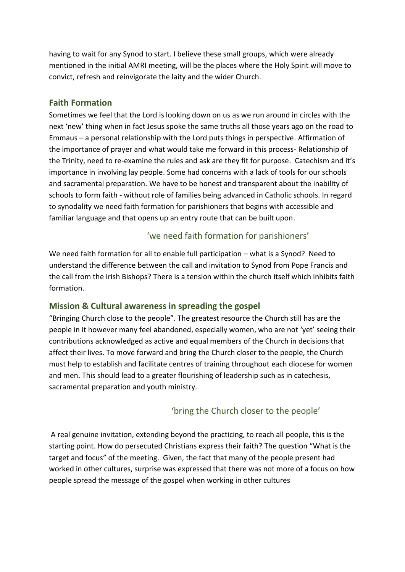having to wait for any Synod to start. I believe these small groups, which were already mentioned in the initial AMRI meeting, will be the places where the Holy Spirit will move to convict, refresh and reinvigorate the laity and the wider Church.

#### **Faith Formation**

Sometimes we feel that the Lord is looking down on us as we run around in circles with the next 'new' thing when in fact Jesus spoke the same truths all those years ago on the road to Emmaus – a personal relationship with the Lord puts things in perspective. Affirmation of the importance of prayer and what would take me forward in this process- Relationship of the Trinity, need to re-examine the rules and ask are they fit for purpose. Catechism and it's importance in involving lay people. Some had concerns with a lack of tools for our schools and sacramental preparation. We have to be honest and transparent about the inability of schools to form faith - without role of families being advanced in Catholic schools. In regard to synodality we need faith formation for parishioners that begins with accessible and familiar language and that opens up an entry route that can be built upon.

### 'we need faith formation for parishioners'

We need faith formation for all to enable full participation – what is a Synod? Need to understand the difference between the call and invitation to Synod from Pope Francis and the call from the Irish Bishops? There is a tension within the church itself which inhibits faith formation.

### **Mission & Cultural awareness in spreading the gospel**

"Bringing Church close to the people". The greatest resource the Church still has are the people in it however many feel abandoned, especially women, who are not 'yet' seeing their contributions acknowledged as active and equal members of the Church in decisions that affect their lives. To move forward and bring the Church closer to the people, the Church must help to establish and facilitate centres of training throughout each diocese for women and men. This should lead to a greater flourishing of leadership such as in catechesis, sacramental preparation and youth ministry.

### 'bring the Church closer to the people'

A real genuine invitation, extending beyond the practicing, to reach all people, this is the starting point. How do persecuted Christians express their faith? The question "What is the target and focus" of the meeting. Given, the fact that many of the people present had worked in other cultures, surprise was expressed that there was not more of a focus on how people spread the message of the gospel when working in other cultures